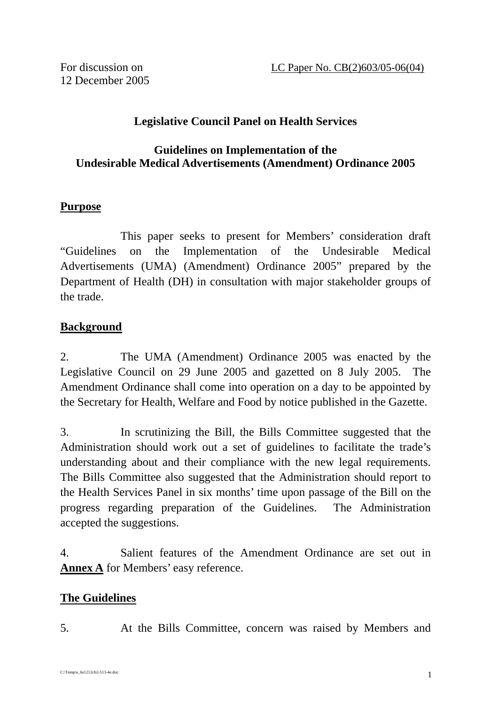## **Legislative Council Panel on Health Services**

### **Guidelines on Implementation of the Undesirable Medical Advertisements (Amendment) Ordinance 2005**

#### **Purpose**

This paper seeks to present for Members' consideration draft "Guidelines on the Implementation of the Undesirable Medical Advertisements (UMA) (Amendment) Ordinance 2005" prepared by the Department of Health (DH) in consultation with major stakeholder groups of the trade.

## **Background**

2. The UMA (Amendment) Ordinance 2005 was enacted by the Legislative Council on 29 June 2005 and gazetted on 8 July 2005. The Amendment Ordinance shall come into operation on a day to be appointed by the Secretary for Health, Welfare and Food by notice published in the Gazette.

3. In scrutinizing the Bill, the Bills Committee suggested that the Administration should work out a set of guidelines to facilitate the trade's understanding about and their compliance with the new legal requirements. The Bills Committee also suggested that the Administration should report to the Health Services Panel in six months' time upon passage of the Bill on the progress regarding preparation of the Guidelines. The Administration accepted the suggestions.

4. Salient features of the Amendment Ordinance are set out in **Annex A** for Members' easy reference.

#### **The Guidelines**

5. At the Bills Committee, concern was raised by Members and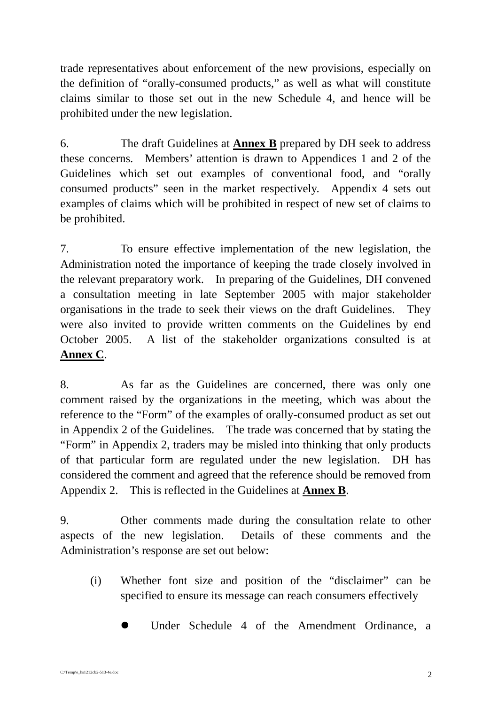trade representatives about enforcement of the new provisions, especially on the definition of "orally-consumed products," as well as what will constitute claims similar to those set out in the new Schedule 4, and hence will be prohibited under the new legislation.

6. The draft Guidelines at **Annex B** prepared by DH seek to address these concerns. Members' attention is drawn to Appendices 1 and 2 of the Guidelines which set out examples of conventional food, and "orally consumed products" seen in the market respectively. Appendix 4 sets out examples of claims which will be prohibited in respect of new set of claims to be prohibited.

7. To ensure effective implementation of the new legislation, the Administration noted the importance of keeping the trade closely involved in the relevant preparatory work. In preparing of the Guidelines, DH convened a consultation meeting in late September 2005 with major stakeholder organisations in the trade to seek their views on the draft Guidelines. They were also invited to provide written comments on the Guidelines by end October 2005. A list of the stakeholder organizations consulted is at **Annex C**.

8. As far as the Guidelines are concerned, there was only one comment raised by the organizations in the meeting, which was about the reference to the "Form" of the examples of orally-consumed product as set out in Appendix 2 of the Guidelines. The trade was concerned that by stating the "Form" in Appendix 2, traders may be misled into thinking that only products of that particular form are regulated under the new legislation. DH has considered the comment and agreed that the reference should be removed from Appendix 2. This is reflected in the Guidelines at **Annex B**.

9. Other comments made during the consultation relate to other aspects of the new legislation. Details of these comments and the Administration's response are set out below:

- (i) Whether font size and position of the "disclaimer" can be specified to ensure its message can reach consumers effectively
	- Under Schedule 4 of the Amendment Ordinance, a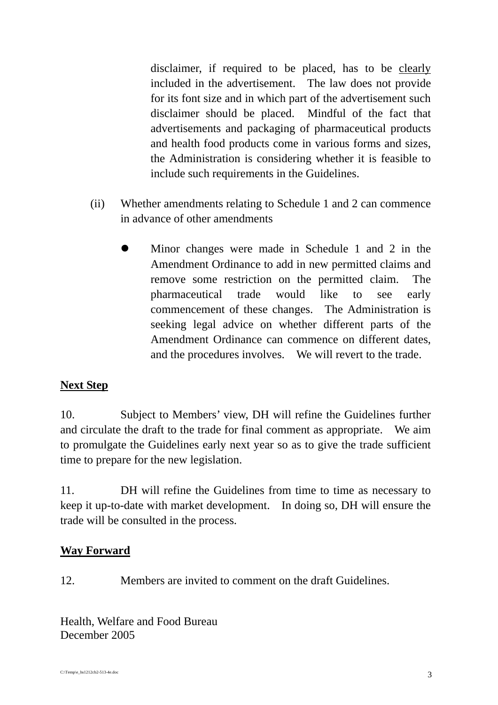disclaimer, if required to be placed, has to be clearly included in the advertisement. The law does not provide for its font size and in which part of the advertisement such disclaimer should be placed. Mindful of the fact that advertisements and packaging of pharmaceutical products and health food products come in various forms and sizes, the Administration is considering whether it is feasible to include such requirements in the Guidelines.

- (ii) Whether amendments relating to Schedule 1 and 2 can commence in advance of other amendments
	- ! Minor changes were made in Schedule 1 and 2 in the Amendment Ordinance to add in new permitted claims and remove some restriction on the permitted claim. The pharmaceutical trade would like to see early commencement of these changes. The Administration is seeking legal advice on whether different parts of the Amendment Ordinance can commence on different dates, and the procedures involves. We will revert to the trade.

## **Next Step**

10. Subject to Members' view, DH will refine the Guidelines further and circulate the draft to the trade for final comment as appropriate. We aim to promulgate the Guidelines early next year so as to give the trade sufficient time to prepare for the new legislation.

11. DH will refine the Guidelines from time to time as necessary to keep it up-to-date with market development. In doing so, DH will ensure the trade will be consulted in the process.

## **Way Forward**

12. Members are invited to comment on the draft Guidelines.

Health, Welfare and Food Bureau December 2005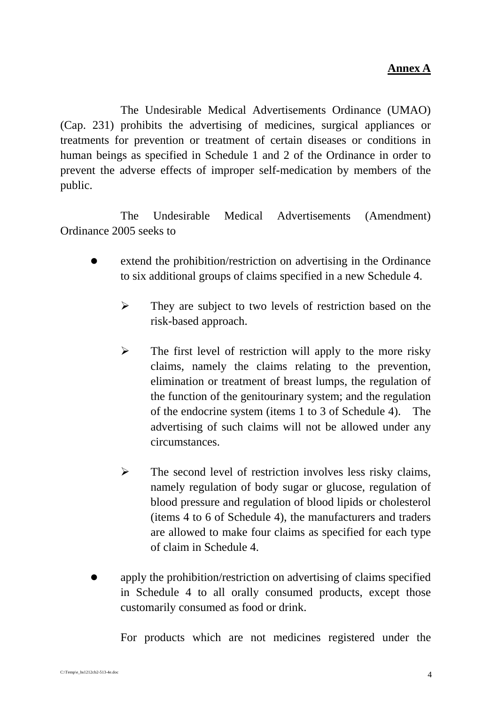The Undesirable Medical Advertisements Ordinance (UMAO) (Cap. 231) prohibits the advertising of medicines, surgical appliances or treatments for prevention or treatment of certain diseases or conditions in human beings as specified in Schedule 1 and 2 of the Ordinance in order to prevent the adverse effects of improper self-medication by members of the public.

 The Undesirable Medical Advertisements (Amendment) Ordinance 2005 seeks to

- extend the prohibition/restriction on advertising in the Ordinance to six additional groups of claims specified in a new Schedule 4.
	- $\triangleright$  They are subject to two levels of restriction based on the risk-based approach.
	- $\triangleright$  The first level of restriction will apply to the more risky claims, namely the claims relating to the prevention, elimination or treatment of breast lumps, the regulation of the function of the genitourinary system; and the regulation of the endocrine system (items 1 to 3 of Schedule 4). The advertising of such claims will not be allowed under any circumstances.
	- $\triangleright$  The second level of restriction involves less risky claims, namely regulation of body sugar or glucose, regulation of blood pressure and regulation of blood lipids or cholesterol (items 4 to 6 of Schedule 4), the manufacturers and traders are allowed to make four claims as specified for each type of claim in Schedule 4.
- apply the prohibition/restriction on advertising of claims specified in Schedule 4 to all orally consumed products, except those customarily consumed as food or drink.

For products which are not medicines registered under the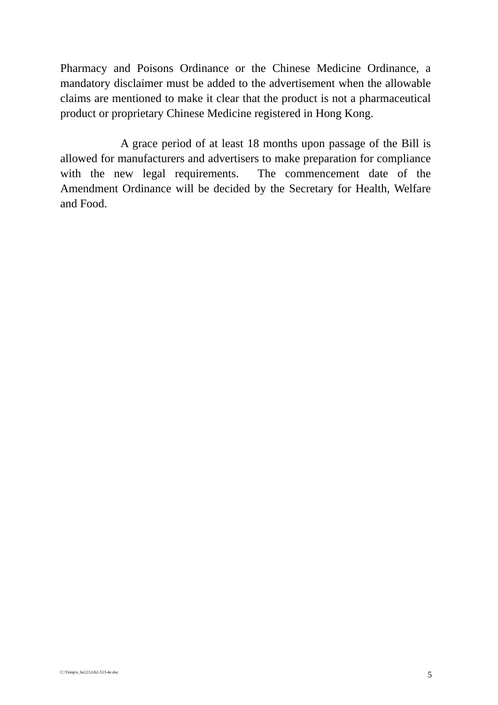Pharmacy and Poisons Ordinance or the Chinese Medicine Ordinance, a mandatory disclaimer must be added to the advertisement when the allowable claims are mentioned to make it clear that the product is not a pharmaceutical product or proprietary Chinese Medicine registered in Hong Kong.

 A grace period of at least 18 months upon passage of the Bill is allowed for manufacturers and advertisers to make preparation for compliance with the new legal requirements. The commencement date of the Amendment Ordinance will be decided by the Secretary for Health, Welfare and Food.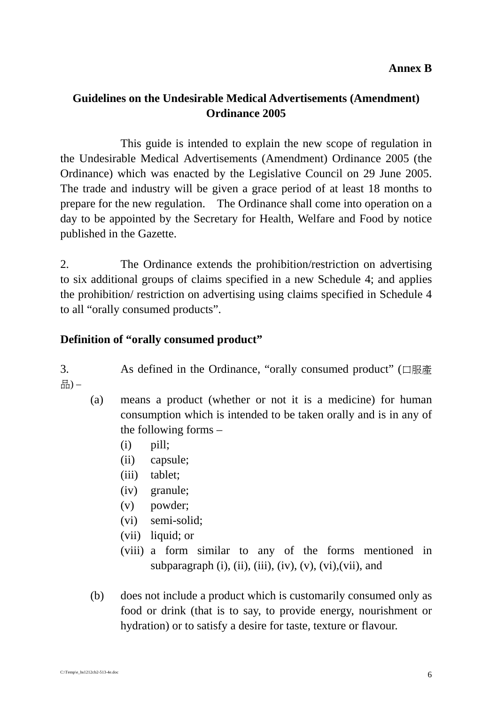## **Guidelines on the Undesirable Medical Advertisements (Amendment) Ordinance 2005**

 This guide is intended to explain the new scope of regulation in the Undesirable Medical Advertisements (Amendment) Ordinance 2005 (the Ordinance) which was enacted by the Legislative Council on 29 June 2005. The trade and industry will be given a grace period of at least 18 months to prepare for the new regulation. The Ordinance shall come into operation on a day to be appointed by the Secretary for Health, Welfare and Food by notice published in the Gazette.

2. The Ordinance extends the prohibition/restriction on advertising to six additional groups of claims specified in a new Schedule 4; and applies the prohibition/ restriction on advertising using claims specified in Schedule 4 to all "orally consumed products".

### **Definition of "orally consumed product"**

3. As defined in the Ordinance, "orally consumed product" (口服產 品) –

- (a) means a product (whether or not it is a medicine) for human consumption which is intended to be taken orally and is in any of the following forms –
	- $(i)$  pill;
	- (ii) capsule;
	- (iii) tablet;
	- (iv) granule;
	- (v) powder;
	- (vi) semi-solid;
	- (vii) liquid; or
	- (viii) a form similar to any of the forms mentioned in subparagraph  $(i)$ ,  $(ii)$ ,  $(iii)$ ,  $(iv)$ ,  $(v)$ ,  $(vi)$ ,  $(vii)$ , and
- (b) does not include a product which is customarily consumed only as food or drink (that is to say, to provide energy, nourishment or hydration) or to satisfy a desire for taste, texture or flavour.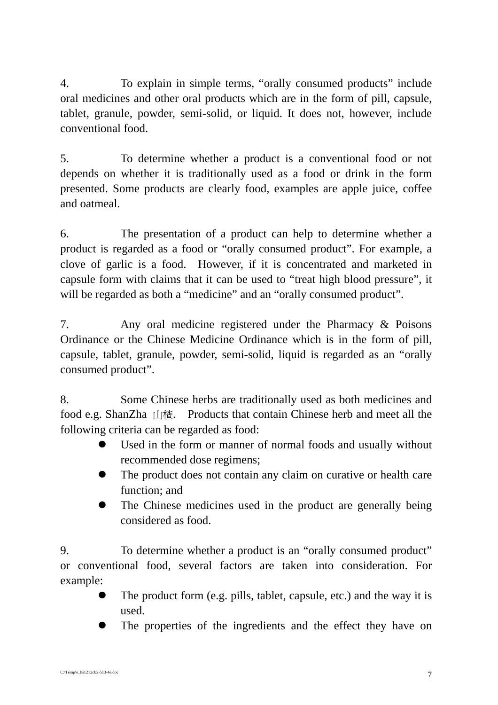4. To explain in simple terms, "orally consumed products" include oral medicines and other oral products which are in the form of pill, capsule, tablet, granule, powder, semi-solid, or liquid. It does not, however, include conventional food.

5. To determine whether a product is a conventional food or not depends on whether it is traditionally used as a food or drink in the form presented. Some products are clearly food, examples are apple juice, coffee and oatmeal.

6. The presentation of a product can help to determine whether a product is regarded as a food or "orally consumed product". For example, a clove of garlic is a food. However, if it is concentrated and marketed in capsule form with claims that it can be used to "treat high blood pressure", it will be regarded as both a "medicine" and an "orally consumed product".

7. Any oral medicine registered under the Pharmacy & Poisons Ordinance or the Chinese Medicine Ordinance which is in the form of pill, capsule, tablet, granule, powder, semi-solid, liquid is regarded as an "orally consumed product".

8. Some Chinese herbs are traditionally used as both medicines and food e.g. ShanZha 山楂. Products that contain Chinese herb and meet all the following criteria can be regarded as food:

- Used in the form or manner of normal foods and usually without recommended dose regimens;
- The product does not contain any claim on curative or health care function; and
- The Chinese medicines used in the product are generally being considered as food.

9. To determine whether a product is an "orally consumed product" or conventional food, several factors are taken into consideration. For example:

- $\bullet$  The product form (e.g. pills, tablet, capsule, etc.) and the way it is used.
- The properties of the ingredients and the effect they have on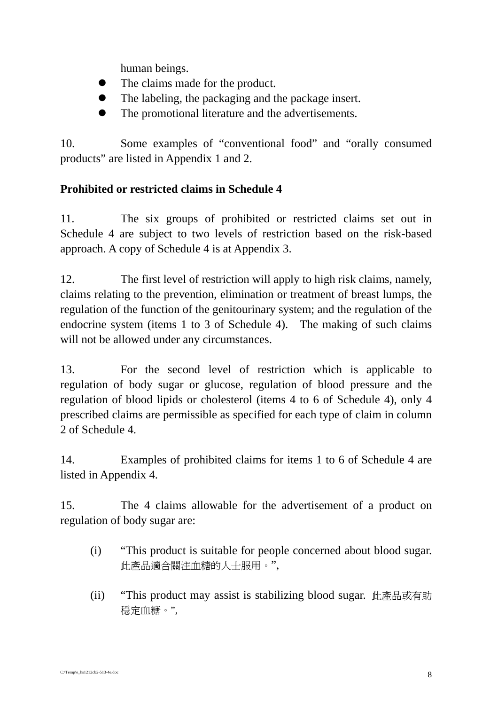human beings.

- The claims made for the product.
- ! The labeling, the packaging and the package insert.
- The promotional literature and the advertisements.

10. Some examples of "conventional food" and "orally consumed products" are listed in Appendix 1 and 2.

## **Prohibited or restricted claims in Schedule 4**

11. The six groups of prohibited or restricted claims set out in Schedule 4 are subject to two levels of restriction based on the risk-based approach. A copy of Schedule 4 is at Appendix 3.

12. The first level of restriction will apply to high risk claims, namely, claims relating to the prevention, elimination or treatment of breast lumps, the regulation of the function of the genitourinary system; and the regulation of the endocrine system (items 1 to 3 of Schedule 4). The making of such claims will not be allowed under any circumstances.

13. For the second level of restriction which is applicable to regulation of body sugar or glucose, regulation of blood pressure and the regulation of blood lipids or cholesterol (items 4 to 6 of Schedule 4), only 4 prescribed claims are permissible as specified for each type of claim in column 2 of Schedule 4.

14. Examples of prohibited claims for items 1 to 6 of Schedule 4 are listed in Appendix 4.

15. The 4 claims allowable for the advertisement of a product on regulation of body sugar are:

- (i) "This product is suitable for people concerned about blood sugar. 此產品適合關注血糖的人士服用。",
- (ii) "This product may assist is stabilizing blood sugar. 此產品或有助 穏定血糖。",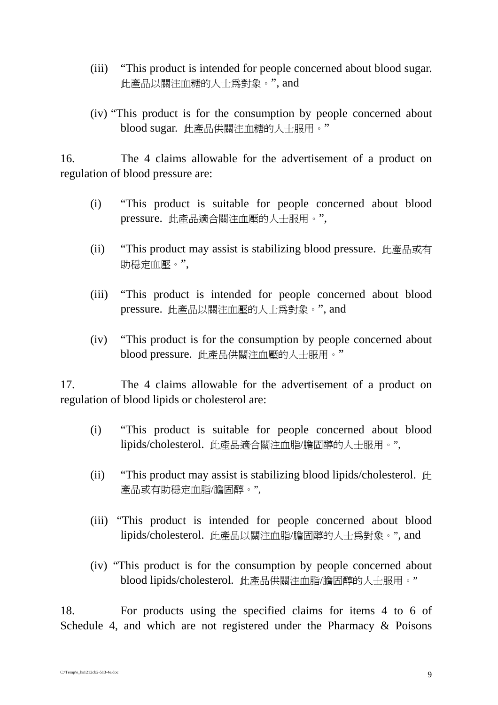- (iii) "This product is intended for people concerned about blood sugar. 此產品以關注血糖的人士為對象。", and
- (iv) "This product is for the consumption by people concerned about blood sugar. 此產品供關注血糖的人士服用。"

16. The 4 claims allowable for the advertisement of a product on regulation of blood pressure are:

- (i) "This product is suitable for people concerned about blood pressure. 此產品適合關注血壓的人士服用。",
- (ii) "This product may assist is stabilizing blood pressure. 此產品或有 助穏定血壓。",
- (iii) "This product is intended for people concerned about blood pressure. 此產品以關注血壓的人士為對象。", and
- (iv) "This product is for the consumption by people concerned about blood pressure. 此產品供關注血壓的人士服用。"

17. The 4 claims allowable for the advertisement of a product on regulation of blood lipids or cholesterol are:

- (i) "This product is suitable for people concerned about blood lipids/cholesterol. 此產品適合關注血脂/膽固醇的人士服用。",
- (ii) "This product may assist is stabilizing blood lipids/cholesterol.  $\mathbb{H}$ 產品或有助穏定血脂/膽固醇。",
- (iii) "This product is intended for people concerned about blood lipids/cholesterol. 此產品以關注血脂/膽固醇的人士為對象。", and
- (iv) "This product is for the consumption by people concerned about blood lipids/cholesterol. 此產品供關注血脂/膽固醇的人士服用。"

18. For products using the specified claims for items 4 to 6 of Schedule 4, and which are not registered under the Pharmacy & Poisons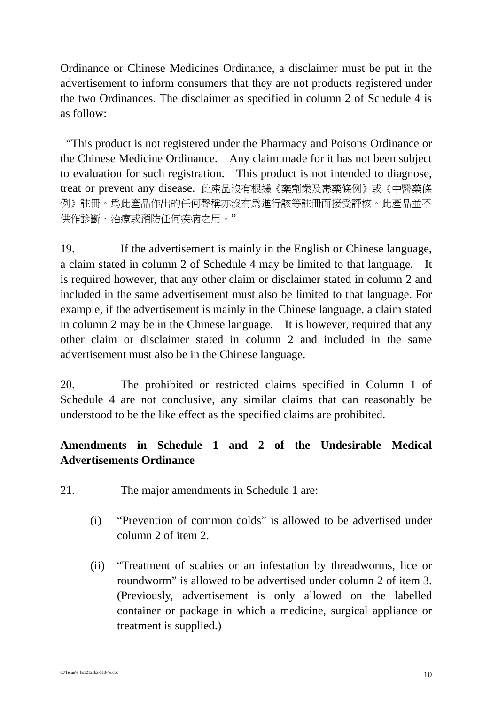Ordinance or Chinese Medicines Ordinance, a disclaimer must be put in the advertisement to inform consumers that they are not products registered under the two Ordinances. The disclaimer as specified in column 2 of Schedule 4 is as follow:

 "This product is not registered under the Pharmacy and Poisons Ordinance or the Chinese Medicine Ordinance. Any claim made for it has not been subject to evaluation for such registration. This product is not intended to diagnose, treat or prevent any disease. 此產品沒有根據《藥劑業及毒藥條例》或《中醫藥條 例》註冊。為此產品作出的任何聲稱亦沒有為進行該等註冊而接受評核。此產品並不 供作診斷、治療或預防任何疾病之用。"

19. If the advertisement is mainly in the English or Chinese language, a claim stated in column 2 of Schedule 4 may be limited to that language. It is required however, that any other claim or disclaimer stated in column 2 and included in the same advertisement must also be limited to that language. For example, if the advertisement is mainly in the Chinese language, a claim stated in column 2 may be in the Chinese language. It is however, required that any other claim or disclaimer stated in column 2 and included in the same advertisement must also be in the Chinese language.

20. The prohibited or restricted claims specified in Column 1 of Schedule 4 are not conclusive, any similar claims that can reasonably be understood to be the like effect as the specified claims are prohibited.

## **Amendments in Schedule 1 and 2 of the Undesirable Medical Advertisements Ordinance**

- 21. The major amendments in Schedule 1 are:
	- (i) "Prevention of common colds" is allowed to be advertised under column 2 of item 2.
	- (ii) "Treatment of scabies or an infestation by threadworms, lice or roundworm" is allowed to be advertised under column 2 of item 3. (Previously, advertisement is only allowed on the labelled container or package in which a medicine, surgical appliance or treatment is supplied.)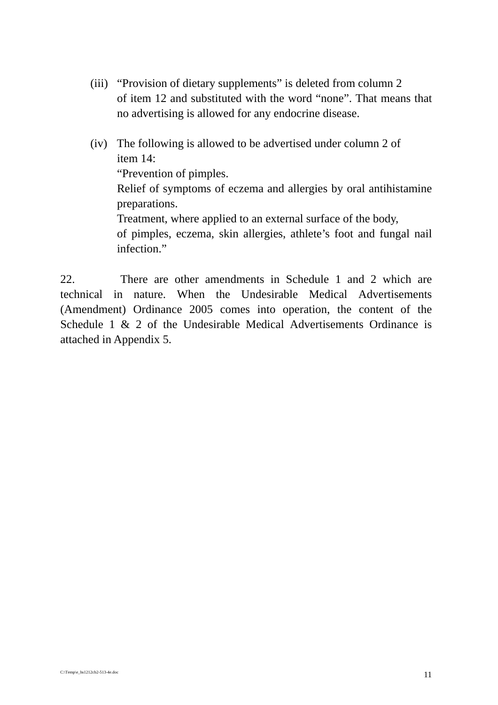- (iii) "Provision of dietary supplements" is deleted from column 2 of item 12 and substituted with the word "none". That means that no advertising is allowed for any endocrine disease.
- (iv) The following is allowed to be advertised under column 2 of item 14: "Prevention of pimples. Relief of symptoms of eczema and allergies by oral antihistamine preparations. Treatment, where applied to an external surface of the body, of pimples, eczema, skin allergies, athlete's foot and fungal nail infection."

22. There are other amendments in Schedule 1 and 2 which are technical in nature. When the Undesirable Medical Advertisements (Amendment) Ordinance 2005 comes into operation, the content of the Schedule 1 & 2 of the Undesirable Medical Advertisements Ordinance is attached in Appendix 5.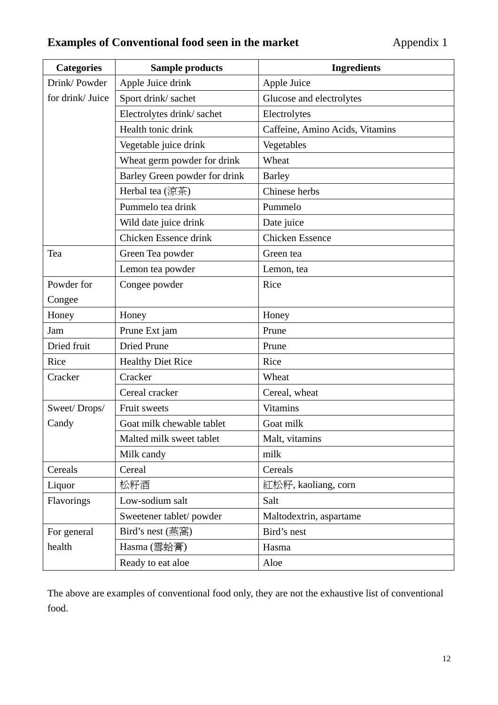# **Examples of Conventional food seen in the market Appendix 1**

| <b>Categories</b> | <b>Sample products</b>        | <b>Ingredients</b>              |
|-------------------|-------------------------------|---------------------------------|
| Drink/Powder      | Apple Juice drink             | Apple Juice                     |
| for drink/Juice   | Sport drink/sachet            | Glucose and electrolytes        |
|                   | Electrolytes drink/sachet     | Electrolytes                    |
|                   | Health tonic drink            | Caffeine, Amino Acids, Vitamins |
|                   | Vegetable juice drink         | Vegetables                      |
|                   | Wheat germ powder for drink   | Wheat                           |
|                   | Barley Green powder for drink | <b>Barley</b>                   |
|                   | Herbal tea (涼茶)               | Chinese herbs                   |
|                   | Pummelo tea drink             | Pummelo                         |
|                   | Wild date juice drink         | Date juice                      |
|                   | Chicken Essence drink         | <b>Chicken Essence</b>          |
| Tea               | Green Tea powder              | Green tea                       |
|                   | Lemon tea powder              | Lemon, tea                      |
| Powder for        | Congee powder                 | Rice                            |
| Congee            |                               |                                 |
| Honey             | Honey                         | Honey                           |
| Jam               | Prune Ext jam                 | Prune                           |
| Dried fruit       | <b>Dried Prune</b>            | Prune                           |
| Rice              | <b>Healthy Diet Rice</b>      | Rice                            |
| Cracker           | Cracker                       | Wheat                           |
|                   | Cereal cracker                | Cereal, wheat                   |
| Sweet/Drops/      | Fruit sweets                  | <b>Vitamins</b>                 |
| Candy             | Goat milk chewable tablet     | Goat milk                       |
|                   | Malted milk sweet tablet      | Malt, vitamins                  |
|                   | Milk candy                    | milk                            |
| Cereals           | Cereal                        | Cereals                         |
| Liquor            | 松籽酒                           | 紅松籽, kaoliang, corn             |
| Flavorings        | Low-sodium salt               | Salt                            |
|                   | Sweetener tablet/powder       | Maltodextrin, aspartame         |
| For general       | Bird's nest (燕窩)              | Bird's nest                     |
| health            | Hasma (雪蛤膏)                   | Hasma                           |
|                   | Ready to eat aloe             | Aloe                            |

The above are examples of conventional food only, they are not the exhaustive list of conventional food.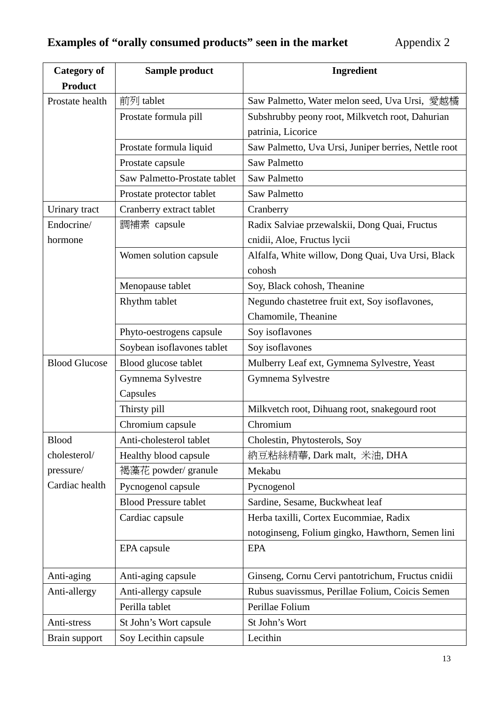| <b>Category of</b>       | Sample product               | <b>Ingredient</b>                                    |  |  |
|--------------------------|------------------------------|------------------------------------------------------|--|--|
| <b>Product</b>           |                              |                                                      |  |  |
| Prostate health          | 前列 tablet                    | Saw Palmetto, Water melon seed, Uva Ursi, 愛越橘        |  |  |
|                          | Prostate formula pill        | Subshrubby peony root, Milkvetch root, Dahurian      |  |  |
|                          |                              | patrinia, Licorice                                   |  |  |
|                          | Prostate formula liquid      | Saw Palmetto, Uva Ursi, Juniper berries, Nettle root |  |  |
|                          | Prostate capsule             | <b>Saw Palmetto</b>                                  |  |  |
|                          | Saw Palmetto-Prostate tablet | <b>Saw Palmetto</b>                                  |  |  |
|                          | Prostate protector tablet    | <b>Saw Palmetto</b>                                  |  |  |
| Urinary tract            | Cranberry extract tablet     | Cranberry                                            |  |  |
| Endocrine/               | 調補素 capsule                  | Radix Salviae przewalskii, Dong Quai, Fructus        |  |  |
| hormone                  |                              | cnidii, Aloe, Fructus lycii                          |  |  |
|                          | Women solution capsule       | Alfalfa, White willow, Dong Quai, Uva Ursi, Black    |  |  |
|                          |                              | cohosh                                               |  |  |
|                          | Menopause tablet             | Soy, Black cohosh, Theanine                          |  |  |
|                          | Rhythm tablet                | Negundo chastetree fruit ext, Soy isoflavones,       |  |  |
|                          |                              | Chamomile, Theanine                                  |  |  |
| Phyto-oestrogens capsule |                              | Soy isoflavones                                      |  |  |
|                          | Soybean isoflavones tablet   | Soy isoflavones                                      |  |  |
| <b>Blood Glucose</b>     | Blood glucose tablet         | Mulberry Leaf ext, Gymnema Sylvestre, Yeast          |  |  |
|                          | Gymnema Sylvestre            | Gymnema Sylvestre                                    |  |  |
|                          | Capsules                     |                                                      |  |  |
|                          | Thirsty pill                 | Milkvetch root, Dihuang root, snakegourd root        |  |  |
|                          | Chromium capsule             | Chromium                                             |  |  |
| <b>Blood</b>             | Anti-cholesterol tablet      | Cholestin, Phytosterols, Soy                         |  |  |
| cholesterol/             | Healthy blood capsule        | 納豆粘絲精華, Dark malt, 米油, DHA                           |  |  |
| pressure/                | 褐藻花 powder/ granule          | Mekabu                                               |  |  |
| Cardiac health           | Pycnogenol capsule           | Pycnogenol                                           |  |  |
|                          | <b>Blood Pressure tablet</b> | Sardine, Sesame, Buckwheat leaf                      |  |  |
|                          | Cardiac capsule              | Herba taxilli, Cortex Eucommiae, Radix               |  |  |
|                          |                              | notoginseng, Folium gingko, Hawthorn, Semen lini     |  |  |
|                          | EPA capsule                  | <b>EPA</b>                                           |  |  |
|                          |                              |                                                      |  |  |
| Anti-aging               | Anti-aging capsule           | Ginseng, Cornu Cervi pantotrichum, Fructus cnidii    |  |  |
| Anti-allergy             | Anti-allergy capsule         | Rubus suavissmus, Perillae Folium, Coicis Semen      |  |  |
|                          | Perilla tablet               | Perillae Folium                                      |  |  |
| Anti-stress              | St John's Wort capsule       | St John's Wort                                       |  |  |
| Brain support            | Soy Lecithin capsule         | Lecithin                                             |  |  |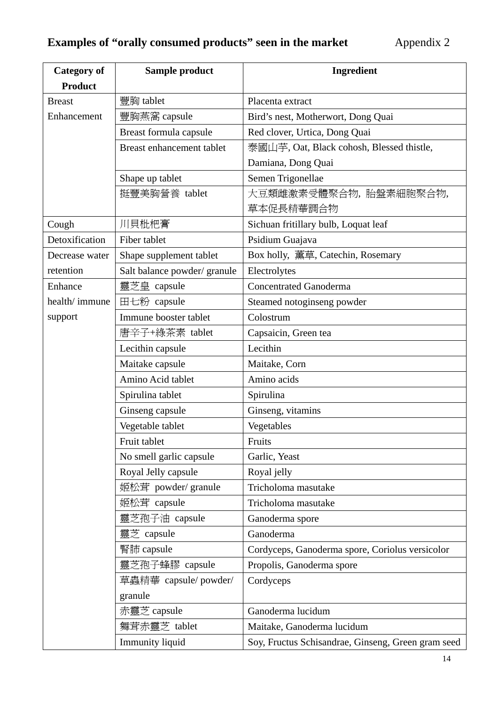| <b>Category of</b> | Sample product               | Ingredient                                         |  |
|--------------------|------------------------------|----------------------------------------------------|--|
| <b>Product</b>     |                              |                                                    |  |
| <b>Breast</b>      | 豐胸 tablet                    | Placenta extract                                   |  |
| Enhancement        | 豐胸燕窩 capsule                 | Bird's nest, Motherwort, Dong Quai                 |  |
|                    | Breast formula capsule       | Red clover, Urtica, Dong Quai                      |  |
|                    | Breast enhancement tablet    | 泰國山芋, Oat, Black cohosh, Blessed thistle,          |  |
|                    |                              | Damiana, Dong Quai                                 |  |
|                    | Shape up tablet              | Semen Trigonellae                                  |  |
|                    | 挺豐美胸營養 tablet                | 大豆類雌激素受體聚合物,胎盤素細胞聚合物,                              |  |
|                    |                              | 草本促長精華調合物                                          |  |
| Cough              | 川貝枇杷膏                        | Sichuan fritillary bulb, Loquat leaf               |  |
| Detoxification     | Fiber tablet                 | Psidium Guajava                                    |  |
| Decrease water     | Shape supplement tablet      | Box holly, 薰草, Catechin, Rosemary                  |  |
| retention          | Salt balance powder/ granule | Electrolytes                                       |  |
| Enhance            | 靈芝皇 capsule                  | <b>Concentrated Ganoderma</b>                      |  |
| health/immune      | 田七粉 capsule                  | Steamed notoginseng powder                         |  |
| support            | Immune booster tablet        | Colostrum                                          |  |
|                    | 唐辛子+綠茶素 tablet               | Capsaicin, Green tea                               |  |
|                    | Lecithin capsule             | Lecithin                                           |  |
|                    | Maitake capsule              | Maitake, Corn                                      |  |
|                    | Amino Acid tablet            | Amino acids                                        |  |
|                    | Spirulina tablet             | Spirulina                                          |  |
|                    | Ginseng capsule              | Ginseng, vitamins                                  |  |
|                    | Vegetable tablet             | Vegetables                                         |  |
|                    | Fruit tablet                 | Fruits                                             |  |
|                    | No smell garlic capsule      | Garlic, Yeast                                      |  |
|                    | Royal Jelly capsule          | Royal jelly                                        |  |
|                    | 姬松茸 powder/ granule          | Tricholoma masutake                                |  |
|                    | 姬松茸 capsule                  | Tricholoma masutake                                |  |
|                    | 靈芝孢子油 capsule                | Ganoderma spore                                    |  |
|                    | 靈芝 capsule                   | Ganoderma                                          |  |
|                    | 腎肺 capsule                   | Cordyceps, Ganoderma spore, Coriolus versicolor    |  |
|                    | 靈芝孢子蜂膠 capsule               | Propolis, Ganoderma spore                          |  |
|                    | 草蟲精華 capsule/powder/         | Cordyceps                                          |  |
|                    | granule                      |                                                    |  |
|                    | 赤靈芝 capsule                  | Ganoderma lucidum                                  |  |
|                    | 舞茸赤靈芝 tablet                 | Maitake, Ganoderma lucidum                         |  |
|                    | Immunity liquid              | Soy, Fructus Schisandrae, Ginseng, Green gram seed |  |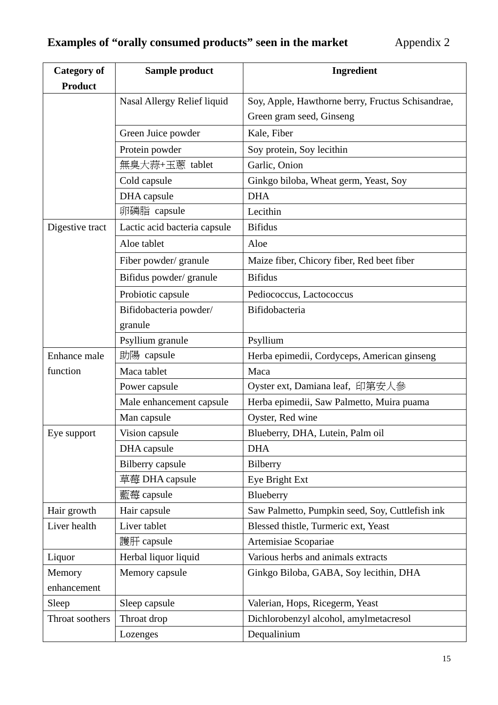| <b>Category of</b> | Sample product               | Ingredient                                        |  |  |
|--------------------|------------------------------|---------------------------------------------------|--|--|
| <b>Product</b>     |                              |                                                   |  |  |
|                    | Nasal Allergy Relief liquid  | Soy, Apple, Hawthorne berry, Fructus Schisandrae, |  |  |
|                    |                              | Green gram seed, Ginseng                          |  |  |
|                    | Green Juice powder           | Kale, Fiber                                       |  |  |
|                    | Protein powder               | Soy protein, Soy lecithin                         |  |  |
|                    | 無臭大蒜+玉蔥 tablet               | Garlic, Onion                                     |  |  |
|                    | Cold capsule                 | Ginkgo biloba, Wheat germ, Yeast, Soy             |  |  |
|                    | DHA capsule                  | <b>DHA</b>                                        |  |  |
|                    | 卵磷脂 capsule                  | Lecithin                                          |  |  |
| Digestive tract    | Lactic acid bacteria capsule | <b>Bifidus</b>                                    |  |  |
|                    | Aloe tablet                  | Aloe                                              |  |  |
|                    | Fiber powder/ granule        | Maize fiber, Chicory fiber, Red beet fiber        |  |  |
|                    | Bifidus powder/granule       | <b>Bifidus</b>                                    |  |  |
|                    | Probiotic capsule            | Pediococcus, Lactococcus                          |  |  |
|                    | Bifidobacteria powder/       | Bifidobacteria                                    |  |  |
|                    | granule                      |                                                   |  |  |
|                    | Psyllium granule             | Psyllium                                          |  |  |
| Enhance male       | 助陽 capsule                   | Herba epimedii, Cordyceps, American ginseng       |  |  |
| function           | Maca tablet                  | Maca                                              |  |  |
|                    | Power capsule                | Oyster ext, Damiana leaf, 印第安人參                   |  |  |
|                    | Male enhancement capsule     | Herba epimedii, Saw Palmetto, Muira puama         |  |  |
|                    | Man capsule                  | Oyster, Red wine                                  |  |  |
| Eye support        | Vision capsule               | Blueberry, DHA, Lutein, Palm oil                  |  |  |
|                    | DHA capsule                  | <b>DHA</b>                                        |  |  |
|                    | <b>Bilberry</b> capsule      | Bilberry                                          |  |  |
|                    | 草莓 DHA capsule               | Eye Bright Ext                                    |  |  |
|                    | 藍莓 capsule                   | Blueberry                                         |  |  |
| Hair growth        | Hair capsule                 | Saw Palmetto, Pumpkin seed, Soy, Cuttlefish ink   |  |  |
| Liver health       | Liver tablet                 | Blessed thistle, Turmeric ext, Yeast              |  |  |
|                    | 護肝 capsule                   | Artemisiae Scopariae                              |  |  |
| Liquor             | Herbal liquor liquid         | Various herbs and animals extracts                |  |  |
| Memory             | Memory capsule               | Ginkgo Biloba, GABA, Soy lecithin, DHA            |  |  |
| enhancement        |                              |                                                   |  |  |
| Sleep              | Sleep capsule                | Valerian, Hops, Ricegerm, Yeast                   |  |  |
| Throat soothers    | Throat drop                  | Dichlorobenzyl alcohol, amylmetacresol            |  |  |
|                    | Lozenges                     | Dequalinium                                       |  |  |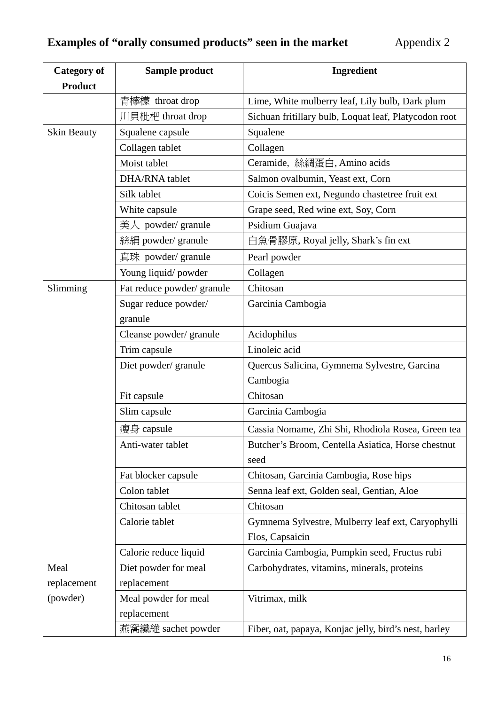| <b>Category of</b> | Sample product             | Ingredient                                                 |  |  |
|--------------------|----------------------------|------------------------------------------------------------|--|--|
| <b>Product</b>     |                            |                                                            |  |  |
|                    | 青檸檬 throat drop            | Lime, White mulberry leaf, Lily bulb, Dark plum            |  |  |
|                    | 川貝枇杷 throat drop           | Sichuan fritillary bulb, Loquat leaf, Platycodon root      |  |  |
| <b>Skin Beauty</b> | Squalene capsule           | Squalene                                                   |  |  |
|                    | Collagen tablet            | Collagen                                                   |  |  |
|                    | Moist tablet               | Ceramide, 絲綢蛋白, Amino acids                                |  |  |
|                    | DHA/RNA tablet             | Salmon ovalbumin, Yeast ext, Corn                          |  |  |
|                    | Silk tablet                | Coicis Semen ext, Negundo chastetree fruit ext             |  |  |
|                    | White capsule              | Grape seed, Red wine ext, Soy, Corn                        |  |  |
|                    | 美人 powder/ granule         | Psidium Guajava                                            |  |  |
|                    | 絲絹 powder/ granule         | 白魚骨膠原, Royal jelly, Shark's fin ext                        |  |  |
|                    | 真珠 powder/ granule         | Pearl powder                                               |  |  |
|                    | Young liquid/powder        | Collagen                                                   |  |  |
| Slimming           | Fat reduce powder/ granule | Chitosan                                                   |  |  |
|                    | Sugar reduce powder/       | Garcinia Cambogia                                          |  |  |
|                    | granule                    |                                                            |  |  |
|                    | Cleanse powder/ granule    | Acidophilus                                                |  |  |
|                    | Trim capsule               | Linoleic acid                                              |  |  |
|                    | Diet powder/granule        | Quercus Salicina, Gymnema Sylvestre, Garcina               |  |  |
|                    |                            | Cambogia                                                   |  |  |
|                    | Fit capsule                | Chitosan                                                   |  |  |
|                    | Slim capsule               | Garcinia Cambogia                                          |  |  |
|                    | 瘦身 capsule                 | Cassia Nomame, Zhi Shi, Rhodiola Rosea, Green tea          |  |  |
|                    | Anti-water tablet          | Butcher's Broom, Centella Asiatica, Horse chestnut<br>seed |  |  |
|                    | Fat blocker capsule        | Chitosan, Garcinia Cambogia, Rose hips                     |  |  |
|                    | Colon tablet               | Senna leaf ext, Golden seal, Gentian, Aloe                 |  |  |
|                    | Chitosan tablet            | Chitosan                                                   |  |  |
|                    | Calorie tablet             | Gymnema Sylvestre, Mulberry leaf ext, Caryophylli          |  |  |
|                    |                            | Flos, Capsaicin                                            |  |  |
|                    | Calorie reduce liquid      | Garcinia Cambogia, Pumpkin seed, Fructus rubi              |  |  |
| Meal               | Diet powder for meal       | Carbohydrates, vitamins, minerals, proteins                |  |  |
| replacement        | replacement                |                                                            |  |  |
| (powder)           | Meal powder for meal       | Vitrimax, milk                                             |  |  |
|                    | replacement                |                                                            |  |  |
|                    | 燕窩纖維 sachet powder         | Fiber, oat, papaya, Konjac jelly, bird's nest, barley      |  |  |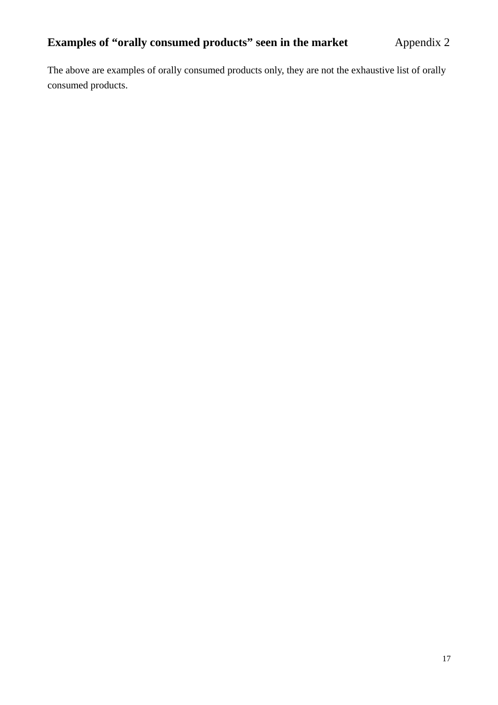The above are examples of orally consumed products only, they are not the exhaustive list of orally consumed products.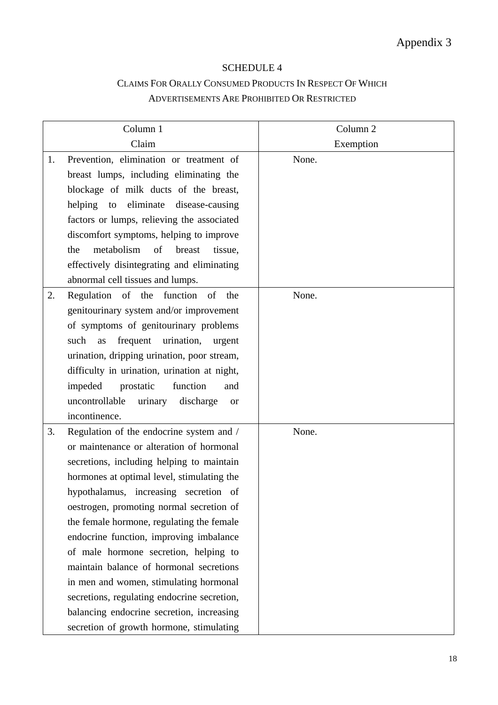#### SCHEDULE 4

## CLAIMS FOR ORALLY CONSUMED PRODUCTS IN RESPECT OF WHICH ADVERTISEMENTS ARE PROHIBITED OR RESTRICTED

|    | Column 1                                            | Column <sub>2</sub> |
|----|-----------------------------------------------------|---------------------|
|    | Claim                                               | Exemption           |
| 1. | Prevention, elimination or treatment of             | None.               |
|    | breast lumps, including eliminating the             |                     |
|    | blockage of milk ducts of the breast,               |                     |
|    | helping to<br>eliminate<br>disease-causing          |                     |
|    | factors or lumps, relieving the associated          |                     |
|    | discomfort symptoms, helping to improve             |                     |
|    | metabolism<br>of<br>the<br>breast<br>tissue,        |                     |
|    | effectively disintegrating and eliminating          |                     |
|    | abnormal cell tissues and lumps.                    |                     |
| 2. | Regulation of the function of the                   | None.               |
|    | genitourinary system and/or improvement             |                     |
|    | of symptoms of genitourinary problems               |                     |
|    | frequent<br>urination,<br>such<br>as<br>urgent      |                     |
|    | urination, dripping urination, poor stream,         |                     |
|    | difficulty in urination, urination at night,        |                     |
|    | function<br>impeded<br>prostatic<br>and             |                     |
|    | uncontrollable<br>urinary<br>discharge<br><b>or</b> |                     |
|    | incontinence.                                       |                     |
| 3. | Regulation of the endocrine system and /            | None.               |
|    | or maintenance or alteration of hormonal            |                     |
|    | secretions, including helping to maintain           |                     |
|    | hormones at optimal level, stimulating the          |                     |
|    | hypothalamus, increasing secretion of               |                     |
|    | oestrogen, promoting normal secretion of            |                     |
|    | the female hormone, regulating the female           |                     |
|    | endocrine function, improving imbalance             |                     |
|    | of male hormone secretion, helping to               |                     |
|    | maintain balance of hormonal secretions             |                     |
|    | in men and women, stimulating hormonal              |                     |
|    | secretions, regulating endocrine secretion,         |                     |
|    | balancing endocrine secretion, increasing           |                     |
|    | secretion of growth hormone, stimulating            |                     |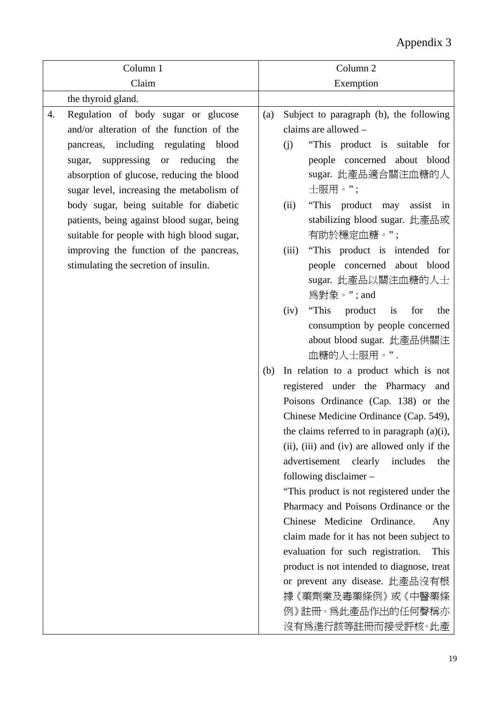| Column 1                                                                                                                                                                                                                                                                                                    | Column 2                                                                                                                                                                                                                                                                                                                                                                                                                                                                                                                                                                                                                                                                                                       |
|-------------------------------------------------------------------------------------------------------------------------------------------------------------------------------------------------------------------------------------------------------------------------------------------------------------|----------------------------------------------------------------------------------------------------------------------------------------------------------------------------------------------------------------------------------------------------------------------------------------------------------------------------------------------------------------------------------------------------------------------------------------------------------------------------------------------------------------------------------------------------------------------------------------------------------------------------------------------------------------------------------------------------------------|
| Claim                                                                                                                                                                                                                                                                                                       | Exemption                                                                                                                                                                                                                                                                                                                                                                                                                                                                                                                                                                                                                                                                                                      |
| the thyroid gland.                                                                                                                                                                                                                                                                                          |                                                                                                                                                                                                                                                                                                                                                                                                                                                                                                                                                                                                                                                                                                                |
| Regulation of body sugar or glucose<br>4.<br>and/or alteration of the function of the<br>pancreas, including regulating blood<br>suppressing or reducing the<br>sugar,<br>absorption of glucose, reducing the blood<br>sugar level, increasing the metabolism of<br>body sugar, being suitable for diabetic | Subject to paragraph (b), the following<br>(a)<br>claims are allowed -<br>(j)<br>"This product is suitable for<br>people concerned about blood<br>sugar. 此產品適合關注血糖的人<br>士服用。";<br>"This product may<br>(ii)<br>assist in                                                                                                                                                                                                                                                                                                                                                                                                                                                                                       |
| patients, being against blood sugar, being<br>suitable for people with high blood sugar,                                                                                                                                                                                                                    | stabilizing blood sugar. 此產品或<br>有助於穩定血糖。";                                                                                                                                                                                                                                                                                                                                                                                                                                                                                                                                                                                                                                                                    |
| improving the function of the pancreas,<br>stimulating the secretion of insulin.                                                                                                                                                                                                                            | "This product is intended for<br>(iii)<br>people concerned about blood<br>sugar. 此產品以關注血糖的人士<br>為對象。"; and                                                                                                                                                                                                                                                                                                                                                                                                                                                                                                                                                                                                     |
|                                                                                                                                                                                                                                                                                                             | "This<br>product<br>(iv)<br>$\frac{1}{1}$<br>for<br>the<br>consumption by people concerned<br>about blood sugar. 此產品供關注<br>血糖的人士服用。".                                                                                                                                                                                                                                                                                                                                                                                                                                                                                                                                                                          |
|                                                                                                                                                                                                                                                                                                             | In relation to a product which is not<br>(b)<br>registered under the Pharmacy and<br>Poisons Ordinance (Cap. 138) or the<br>Chinese Medicine Ordinance (Cap. 549),<br>the claims referred to in paragraph (a)(i),<br>(ii), (iii) and (iv) are allowed only if the<br>advertisement<br>includes<br>clearly<br>the<br>following disclaimer-<br>"This product is not registered under the<br>Pharmacy and Poisons Ordinance or the<br>Chinese Medicine Ordinance.<br>Any<br>claim made for it has not been subject to<br>evaluation for such registration.<br>This<br>product is not intended to diagnose, treat<br>or prevent any disease. 此產品沒有根<br>據《藥劑業及毒藥條例》或《中醫藥條<br>例》註冊。爲此產品作出的任何聲稱亦<br>沒有爲進行該等註冊而接受評核。此產 |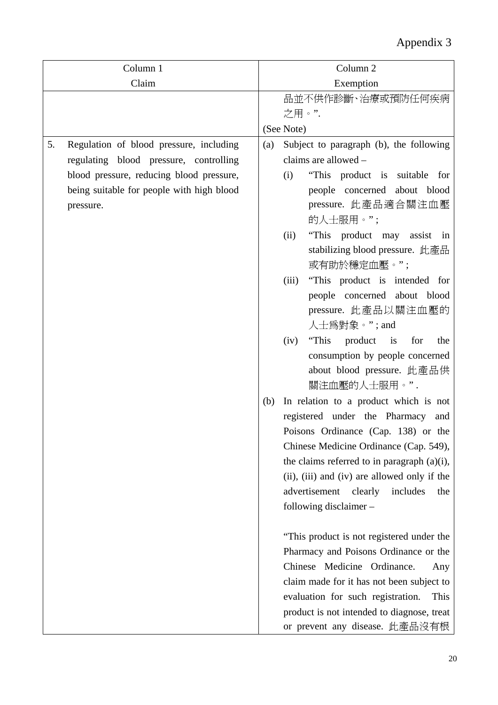| Column 1 |                                           |     | Column <sub>2</sub>                            |
|----------|-------------------------------------------|-----|------------------------------------------------|
| Claim    |                                           |     | Exemption                                      |
|          |                                           |     | 品並不供作診斷、治療或預防任何疾病                              |
|          |                                           |     | 之用。".                                          |
|          |                                           |     | (See Note)                                     |
| 5.       | Regulation of blood pressure, including   | (a) | Subject to paragraph (b), the following        |
|          | regulating blood pressure, controlling    |     | claims are allowed -                           |
|          | blood pressure, reducing blood pressure,  |     | "This product is suitable for<br>(i)           |
|          | being suitable for people with high blood |     | people concerned about blood                   |
|          | pressure.                                 |     | pressure. 此產品適合關注血壓                            |
|          |                                           |     | 的人士服用。";                                       |
|          |                                           |     | "This product may assist in<br>(ii)            |
|          |                                           |     | stabilizing blood pressure. 此產品<br>或有助於穩定血壓。"; |
|          |                                           |     | "This product is intended for<br>(iii)         |
|          |                                           |     | people concerned about blood                   |
|          |                                           |     | pressure. 此產品以關注血壓的                            |
|          |                                           |     | 人士為對象。";and                                    |
|          |                                           |     | product is<br>(iv)<br>"This<br>for<br>the      |
|          |                                           |     | consumption by people concerned                |
|          |                                           |     | about blood pressure. 此產品供                     |
|          |                                           |     | 關注血壓的人士服用。".                                   |
|          |                                           | (b) | In relation to a product which is not          |
|          |                                           |     | registered under the Pharmacy and              |
|          |                                           |     | Poisons Ordinance (Cap. 138) or the            |
|          |                                           |     | Chinese Medicine Ordinance (Cap. 549),         |
|          |                                           |     | the claims referred to in paragraph $(a)(i)$ , |
|          |                                           |     | (ii), (iii) and (iv) are allowed only if the   |
|          |                                           |     | advertisement clearly<br>includes<br>the       |
|          |                                           |     | following disclaimer -                         |
|          |                                           |     | "This product is not registered under the      |
|          |                                           |     | Pharmacy and Poisons Ordinance or the          |
|          |                                           |     | Chinese Medicine Ordinance.<br>Any             |
|          |                                           |     | claim made for it has not been subject to      |
|          |                                           |     | evaluation for such registration.<br>This      |
|          |                                           |     | product is not intended to diagnose, treat     |
|          |                                           |     | or prevent any disease. 此產品沒有根                 |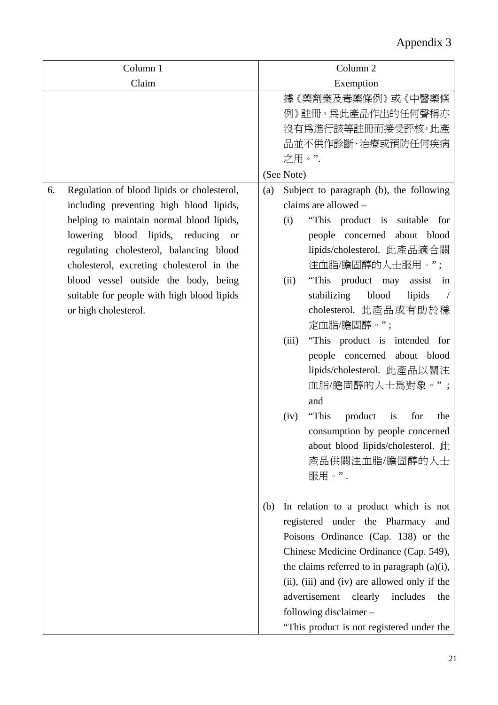| Column 1                                         | Column <sub>2</sub>                            |
|--------------------------------------------------|------------------------------------------------|
| Claim                                            | Exemption                                      |
|                                                  | 據《藥劑業及毒藥條例》或《中醫藥條                              |
|                                                  | 例》註冊。爲此產品作出的任何聲稱亦                              |
|                                                  | 沒有爲進行該等註冊而接受評核。此產                              |
|                                                  | 品並不供作診斷、治療或預防任何疾病                              |
|                                                  | 之用。".                                          |
|                                                  | (See Note)                                     |
| Regulation of blood lipids or cholesterol,<br>6. | Subject to paragraph (b), the following<br>(a) |
| including preventing high blood lipids,          | claims are allowed -                           |
| helping to maintain normal blood lipids,         | "This product is suitable for<br>(i)           |
| lowering blood lipids, reducing<br><sub>or</sub> | people concerned about blood                   |
| regulating cholesterol, balancing blood          | lipids/cholesterol. 此產品適合關                     |
| cholesterol, excreting cholesterol in the        | 注血脂/膽固醇的人士服用。";                                |
| blood vessel outside the body, being             | "This product may<br>(ii)<br>assist<br>in      |
| suitable for people with high blood lipids       | stabilizing<br>blood<br>lipids                 |
| or high cholesterol.                             | cholesterol. 此產品或有助於穩                          |
|                                                  | 定血脂/膽固醇。";                                     |
|                                                  | "This product is intended for<br>(iii)         |
|                                                  | people concerned about blood                   |
|                                                  | lipids/cholesterol. 此產品以關注                     |
|                                                  | 血脂/膽固醇的人士爲對象。";                                |
|                                                  | and                                            |
|                                                  | "This<br>product<br>(iv)<br>is<br>for<br>the   |
|                                                  | consumption by people concerned                |
|                                                  | about blood lipids/cholesterol. 此              |
|                                                  | 產品供關注血脂/膽固醇的人士                                 |
|                                                  | 服用。".                                          |
|                                                  |                                                |
|                                                  | In relation to a product which is not<br>(b)   |
|                                                  | registered under the Pharmacy and              |
|                                                  | Poisons Ordinance (Cap. 138) or the            |
|                                                  | Chinese Medicine Ordinance (Cap. 549),         |
|                                                  | the claims referred to in paragraph (a)(i),    |
|                                                  | (ii), (iii) and (iv) are allowed only if the   |
|                                                  | advertisement<br>clearly<br>includes<br>the    |
|                                                  | following disclaimer -                         |
|                                                  | "This product is not registered under the      |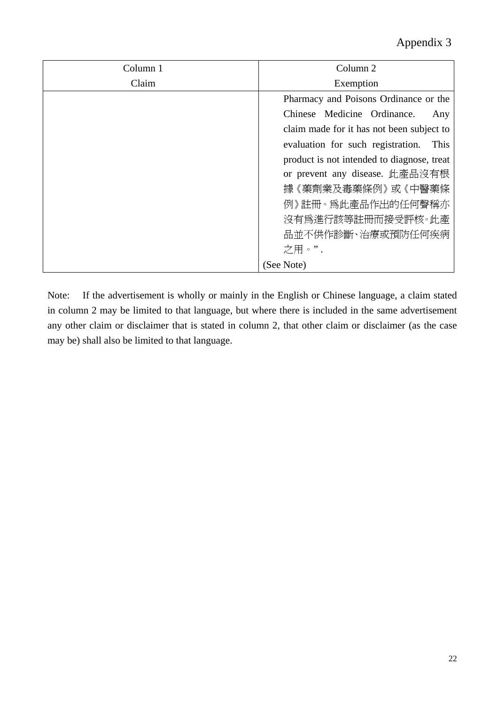| Column 1 | Column 2                                   |
|----------|--------------------------------------------|
| Claim    | Exemption                                  |
|          | Pharmacy and Poisons Ordinance or the      |
|          | Chinese Medicine Ordinance.<br>Any         |
|          | claim made for it has not been subject to  |
|          | evaluation for such registration.<br>This  |
|          | product is not intended to diagnose, treat |
|          | or prevent any disease. 此產品沒有根             |
|          | 據《藥劑業及毒藥條例》或《中醫藥條                          |
|          | 例》註冊。爲此產品作出的任何聲稱亦                          |
|          | 沒有爲進行該等註冊而接受評核。此產                          |
|          | 品並不供作診斷、治療或預防任何疾病                          |
|          | 之用。".                                      |
|          | (See Note)                                 |

Note: If the advertisement is wholly or mainly in the English or Chinese language, a claim stated in column 2 may be limited to that language, but where there is included in the same advertisement any other claim or disclaimer that is stated in column 2, that other claim or disclaimer (as the case may be) shall also be limited to that language.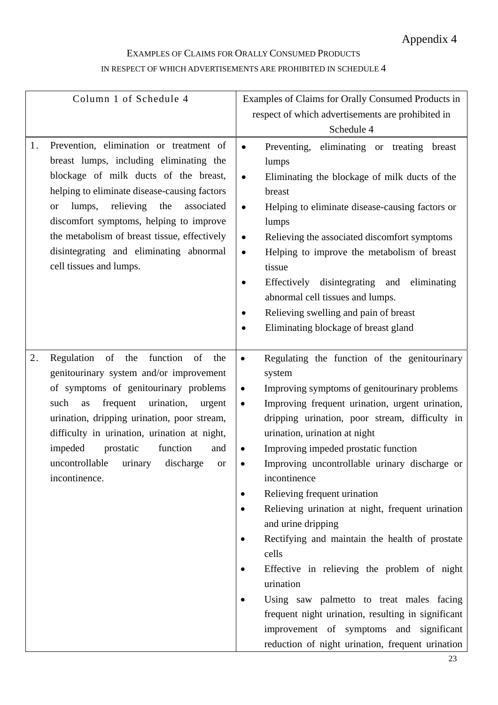## EXAMPLES OF CLAIMS FOR ORALLY CONSUMED PRODUCTS IN RESPECT OF WHICH ADVERTISEMENTS ARE PROHIBITED IN SCHEDULE 4

| Column 1 of Schedule 4                                                                                                                                                                                                                                                                                                                                                                                      | Examples of Claims for Orally Consumed Products in<br>respect of which advertisements are prohibited in                                                                                                                                                                                                                                                                                                                                                                                                                                                                                                                                                                                                                                                                                                                                     |
|-------------------------------------------------------------------------------------------------------------------------------------------------------------------------------------------------------------------------------------------------------------------------------------------------------------------------------------------------------------------------------------------------------------|---------------------------------------------------------------------------------------------------------------------------------------------------------------------------------------------------------------------------------------------------------------------------------------------------------------------------------------------------------------------------------------------------------------------------------------------------------------------------------------------------------------------------------------------------------------------------------------------------------------------------------------------------------------------------------------------------------------------------------------------------------------------------------------------------------------------------------------------|
|                                                                                                                                                                                                                                                                                                                                                                                                             | Schedule 4                                                                                                                                                                                                                                                                                                                                                                                                                                                                                                                                                                                                                                                                                                                                                                                                                                  |
| Prevention, elimination or treatment of<br>1.<br>breast lumps, including eliminating the<br>blockage of milk ducts of the breast,<br>helping to eliminate disease-causing factors<br>relieving<br>lumps,<br>the<br>associated<br><b>or</b><br>discomfort symptoms, helping to improve<br>the metabolism of breast tissue, effectively<br>disintegrating and eliminating abnormal<br>cell tissues and lumps. | Preventing, eliminating or treating breast<br>$\bullet$<br>lumps<br>Eliminating the blockage of milk ducts of the<br>$\bullet$<br>breast<br>Helping to eliminate disease-causing factors or<br>$\bullet$<br>lumps<br>Relieving the associated discomfort symptoms<br>$\bullet$<br>Helping to improve the metabolism of breast<br>$\bullet$<br>tissue<br>Effectively<br>disintegrating and<br>eliminating<br>abnormal cell tissues and lumps.<br>Relieving swelling and pain of breast<br>Eliminating blockage of breast gland                                                                                                                                                                                                                                                                                                               |
| function<br>2.<br>Regulation<br>of<br>the<br>of<br>the<br>genitourinary system and/or improvement<br>of symptoms of genitourinary problems<br>such<br>frequent<br>urination,<br>as<br>urgent<br>urination, dripping urination, poor stream,<br>difficulty in urination, urination at night,<br>function<br>impeded<br>prostatic<br>and<br>uncontrollable urinary<br>discharge<br>or<br>incontinence.        | Regulating the function of the genitourinary<br>$\bullet$<br>system<br>Improving symptoms of genitourinary problems<br>$\bullet$<br>Improving frequent urination, urgent urination,<br>$\bullet$<br>dripping urination, poor stream, difficulty in<br>urination, urination at night<br>Improving impeded prostatic function<br>Improving uncontrollable urinary discharge or<br>incontinence<br>Relieving frequent urination<br>$\bullet$<br>Relieving urination at night, frequent urination<br>and urine dripping<br>Rectifying and maintain the health of prostate<br>cells<br>Effective in relieving the problem of night<br>urination<br>Using saw palmetto to treat males facing<br>frequent night urination, resulting in significant<br>improvement of symptoms and significant<br>reduction of night urination, frequent urination |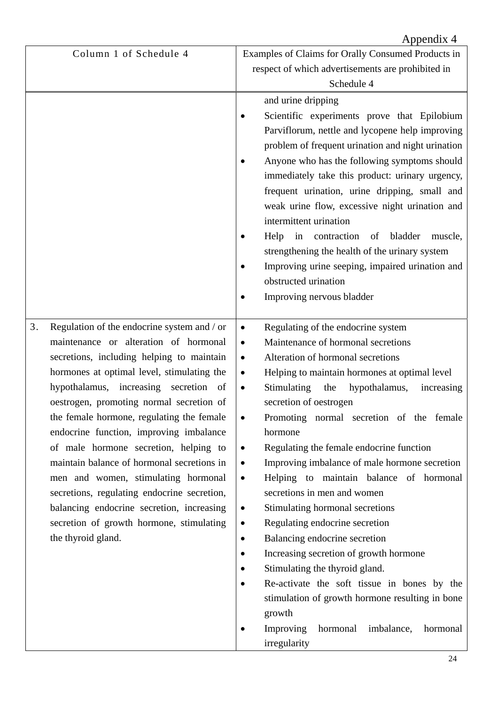|    |                                             |           | Appendix 4                                         |
|----|---------------------------------------------|-----------|----------------------------------------------------|
|    | Column 1 of Schedule 4                      |           | Examples of Claims for Orally Consumed Products in |
|    |                                             |           | respect of which advertisements are prohibited in  |
|    |                                             |           | Schedule 4                                         |
|    |                                             |           | and urine dripping                                 |
|    |                                             |           | Scientific experiments prove that Epilobium        |
|    |                                             |           | Parviflorum, nettle and lycopene help improving    |
|    |                                             |           | problem of frequent urination and night urination  |
|    |                                             |           | Anyone who has the following symptoms should       |
|    |                                             |           | immediately take this product: urinary urgency,    |
|    |                                             |           | frequent urination, urine dripping, small and      |
|    |                                             |           | weak urine flow, excessive night urination and     |
|    |                                             |           | intermittent urination                             |
|    |                                             |           | Help<br>in contraction<br>bladder<br>of<br>muscle, |
|    |                                             |           | strengthening the health of the urinary system     |
|    |                                             |           | Improving urine seeping, impaired urination and    |
|    |                                             |           | obstructed urination                               |
|    |                                             |           | Improving nervous bladder                          |
|    |                                             |           |                                                    |
| 3. | Regulation of the endocrine system and / or | ٠         | Regulating of the endocrine system                 |
|    | maintenance or alteration of hormonal       | $\bullet$ | Maintenance of hormonal secretions                 |
|    | secretions, including helping to maintain   | ٠         | Alteration of hormonal secretions                  |
|    | hormones at optimal level, stimulating the  | ٠         | Helping to maintain hormones at optimal level      |
|    | hypothalamus, increasing secretion of       | $\bullet$ | Stimulating<br>the<br>hypothalamus,<br>increasing  |
|    | oestrogen, promoting normal secretion of    |           | secretion of oestrogen                             |
|    | the female hormone, regulating the female   | $\bullet$ | Promoting normal secretion of the female           |
|    | endocrine function, improving imbalance     |           | hormone                                            |
|    | of male hormone secretion, helping to       | $\bullet$ | Regulating the female endocrine function           |
|    | maintain balance of hormonal secretions in  | $\bullet$ | Improving imbalance of male hormone secretion      |
|    | men and women, stimulating hormonal         | $\bullet$ | Helping to maintain balance of hormonal            |
|    | secretions, regulating endocrine secretion, |           | secretions in men and women                        |
|    | balancing endocrine secretion, increasing   | $\bullet$ | Stimulating hormonal secretions                    |
|    | secretion of growth hormone, stimulating    | $\bullet$ | Regulating endocrine secretion                     |
|    | the thyroid gland.                          | $\bullet$ | Balancing endocrine secretion                      |
|    |                                             |           | Increasing secretion of growth hormone             |
|    |                                             |           | Stimulating the thyroid gland.                     |
|    |                                             |           | Re-activate the soft tissue in bones by the        |
|    |                                             |           | stimulation of growth hormone resulting in bone    |
|    |                                             |           | growth                                             |
|    |                                             |           | Improving<br>hormonal<br>imbalance,<br>hormonal    |
|    |                                             |           | irregularity                                       |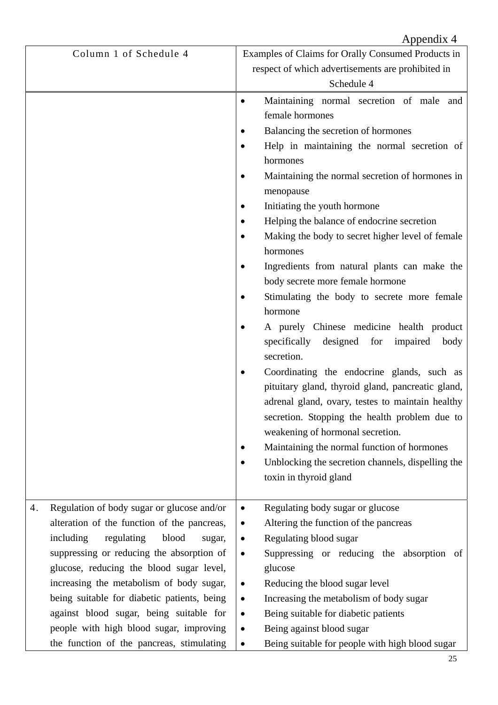|                                                                                         | Appendix 4                                                                                                                                                                                                                                                                                                                                                                  |
|-----------------------------------------------------------------------------------------|-----------------------------------------------------------------------------------------------------------------------------------------------------------------------------------------------------------------------------------------------------------------------------------------------------------------------------------------------------------------------------|
| Column 1 of Schedule 4                                                                  | Examples of Claims for Orally Consumed Products in                                                                                                                                                                                                                                                                                                                          |
|                                                                                         | respect of which advertisements are prohibited in                                                                                                                                                                                                                                                                                                                           |
|                                                                                         | Schedule 4                                                                                                                                                                                                                                                                                                                                                                  |
|                                                                                         | Maintaining normal secretion of male and                                                                                                                                                                                                                                                                                                                                    |
|                                                                                         | female hormones                                                                                                                                                                                                                                                                                                                                                             |
|                                                                                         | Balancing the secretion of hormones                                                                                                                                                                                                                                                                                                                                         |
|                                                                                         | Help in maintaining the normal secretion of                                                                                                                                                                                                                                                                                                                                 |
|                                                                                         | hormones                                                                                                                                                                                                                                                                                                                                                                    |
|                                                                                         | Maintaining the normal secretion of hormones in<br>menopause                                                                                                                                                                                                                                                                                                                |
|                                                                                         | Initiating the youth hormone                                                                                                                                                                                                                                                                                                                                                |
|                                                                                         | Helping the balance of endocrine secretion                                                                                                                                                                                                                                                                                                                                  |
|                                                                                         | Making the body to secret higher level of female                                                                                                                                                                                                                                                                                                                            |
|                                                                                         | hormones                                                                                                                                                                                                                                                                                                                                                                    |
|                                                                                         | Ingredients from natural plants can make the                                                                                                                                                                                                                                                                                                                                |
|                                                                                         | body secrete more female hormone                                                                                                                                                                                                                                                                                                                                            |
|                                                                                         | Stimulating the body to secrete more female                                                                                                                                                                                                                                                                                                                                 |
|                                                                                         | hormone                                                                                                                                                                                                                                                                                                                                                                     |
|                                                                                         | A purely Chinese medicine health product<br>specifically<br>designed<br>for<br>impaired<br>body<br>secretion.                                                                                                                                                                                                                                                               |
|                                                                                         | Coordinating the endocrine glands, such as<br>٠<br>pituitary gland, thyroid gland, pancreatic gland,<br>adrenal gland, ovary, testes to maintain healthy<br>secretion. Stopping the health problem due to<br>weakening of hormonal secretion.<br>Maintaining the normal function of hormones<br>Unblocking the secretion channels, dispelling the<br>toxin in thyroid gland |
|                                                                                         |                                                                                                                                                                                                                                                                                                                                                                             |
| Regulation of body sugar or glucose and/or<br>4.                                        | Regulating body sugar or glucose<br>$\bullet$                                                                                                                                                                                                                                                                                                                               |
| alteration of the function of the pancreas,                                             | Altering the function of the pancreas<br>$\bullet$                                                                                                                                                                                                                                                                                                                          |
| regulating<br>including<br>blood<br>sugar,                                              | Regulating blood sugar<br>$\bullet$                                                                                                                                                                                                                                                                                                                                         |
| suppressing or reducing the absorption of                                               | Suppressing or reducing the absorption<br>- of<br>$\bullet$                                                                                                                                                                                                                                                                                                                 |
| glucose, reducing the blood sugar level,                                                | glucose                                                                                                                                                                                                                                                                                                                                                                     |
| increasing the metabolism of body sugar,<br>being suitable for diabetic patients, being | Reducing the blood sugar level<br>$\bullet$<br>Increasing the metabolism of body sugar                                                                                                                                                                                                                                                                                      |
| against blood sugar, being suitable for                                                 | $\bullet$<br>Being suitable for diabetic patients<br>$\bullet$                                                                                                                                                                                                                                                                                                              |
| people with high blood sugar, improving                                                 | Being against blood sugar<br>$\bullet$                                                                                                                                                                                                                                                                                                                                      |
| the function of the pancreas, stimulating                                               | Being suitable for people with high blood sugar<br>٠                                                                                                                                                                                                                                                                                                                        |
|                                                                                         |                                                                                                                                                                                                                                                                                                                                                                             |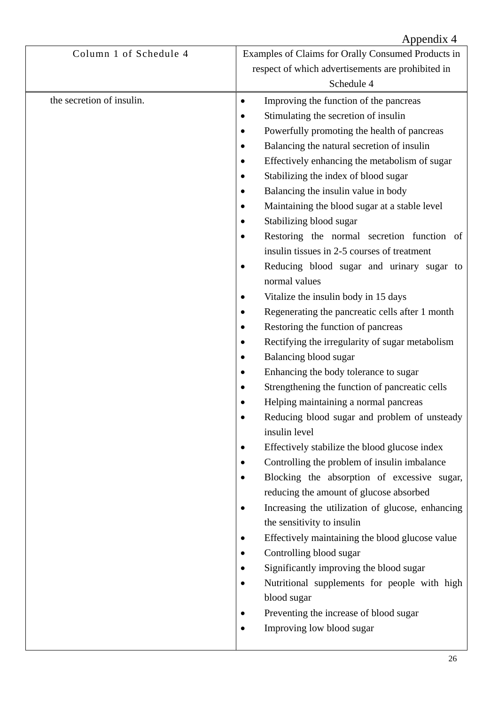|                           | Appendix 4                                                         |
|---------------------------|--------------------------------------------------------------------|
| Column 1 of Schedule 4    | Examples of Claims for Orally Consumed Products in                 |
|                           | respect of which advertisements are prohibited in                  |
|                           | Schedule 4                                                         |
| the secretion of insulin. | Improving the function of the pancreas<br>٠                        |
|                           | Stimulating the secretion of insulin                               |
|                           | Powerfully promoting the health of pancreas                        |
|                           | Balancing the natural secretion of insulin                         |
|                           | Effectively enhancing the metabolism of sugar                      |
|                           | Stabilizing the index of blood sugar                               |
|                           | Balancing the insulin value in body                                |
|                           | Maintaining the blood sugar at a stable level                      |
|                           | Stabilizing blood sugar                                            |
|                           | Restoring the normal secretion function of<br>$\bullet$            |
|                           | insulin tissues in 2-5 courses of treatment                        |
|                           | Reducing blood sugar and urinary sugar to<br>٠                     |
|                           | normal values                                                      |
|                           | Vitalize the insulin body in 15 days                               |
|                           | Regenerating the pancreatic cells after 1 month                    |
|                           | Restoring the function of pancreas                                 |
|                           | Rectifying the irregularity of sugar metabolism                    |
|                           | Balancing blood sugar                                              |
|                           | Enhancing the body tolerance to sugar                              |
|                           | Strengthening the function of pancreatic cells                     |
|                           | Helping maintaining a normal pancreas                              |
|                           | Reducing blood sugar and problem of unsteady                       |
|                           | insulin level                                                      |
|                           | Effectively stabilize the blood glucose index                      |
|                           | Controlling the problem of insulin imbalance                       |
|                           | Blocking the absorption of excessive sugar,                        |
|                           | reducing the amount of glucose absorbed                            |
|                           | Increasing the utilization of glucose, enhancing                   |
|                           | the sensitivity to insulin                                         |
|                           | Effectively maintaining the blood glucose value                    |
|                           | Controlling blood sugar<br>Significantly improving the blood sugar |
|                           | Nutritional supplements for people with high                       |
|                           | blood sugar                                                        |
|                           | Preventing the increase of blood sugar                             |
|                           | Improving low blood sugar                                          |
|                           |                                                                    |
|                           |                                                                    |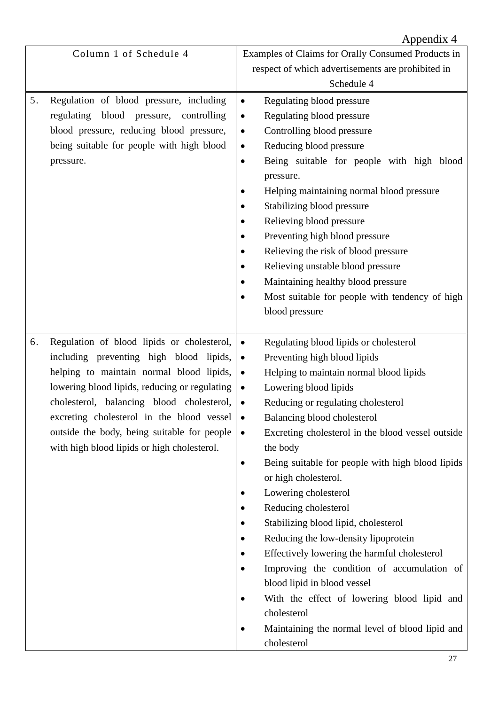|    |                                                 | Appendix 4                                                     |
|----|-------------------------------------------------|----------------------------------------------------------------|
|    | Column 1 of Schedule 4                          | Examples of Claims for Orally Consumed Products in             |
|    |                                                 | respect of which advertisements are prohibited in              |
|    |                                                 | Schedule 4                                                     |
| 5. | Regulation of blood pressure, including         | Regulating blood pressure<br>$\bullet$                         |
|    | regulating<br>blood<br>pressure,<br>controlling | Regulating blood pressure<br>$\bullet$                         |
|    | blood pressure, reducing blood pressure,        | Controlling blood pressure<br>$\bullet$                        |
|    | being suitable for people with high blood       | Reducing blood pressure<br>$\bullet$                           |
|    | pressure.                                       | Being suitable for people with high blood<br>$\bullet$         |
|    |                                                 | pressure.                                                      |
|    |                                                 | Helping maintaining normal blood pressure<br>$\bullet$         |
|    |                                                 | Stabilizing blood pressure                                     |
|    |                                                 | Relieving blood pressure                                       |
|    |                                                 | Preventing high blood pressure                                 |
|    |                                                 | Relieving the risk of blood pressure<br>$\bullet$              |
|    |                                                 | Relieving unstable blood pressure                              |
|    |                                                 | Maintaining healthy blood pressure                             |
|    |                                                 | Most suitable for people with tendency of high<br>$\bullet$    |
|    |                                                 | blood pressure                                                 |
|    |                                                 |                                                                |
| 6. | Regulation of blood lipids or cholesterol,      | Regulating blood lipids or cholesterol<br>$\bullet$            |
|    | including preventing high blood lipids,         | Preventing high blood lipids<br>$\bullet$                      |
|    | helping to maintain normal blood lipids,        | Helping to maintain normal blood lipids<br>$\bullet$           |
|    | lowering blood lipids, reducing or regulating   | Lowering blood lipids<br>$\bullet$                             |
|    | cholesterol, balancing blood cholesterol,       | Reducing or regulating cholesterol                             |
|    | excreting cholesterol in the blood vessel       | Balancing blood cholesterol<br>$\bullet$                       |
|    | outside the body, being suitable for people     | Excreting cholesterol in the blood vessel outside<br>$\bullet$ |
|    | with high blood lipids or high cholesterol.     | the body                                                       |
|    |                                                 | Being suitable for people with high blood lipids<br>$\bullet$  |
|    |                                                 | or high cholesterol.                                           |
|    |                                                 | Lowering cholesterol                                           |
|    | Reducing cholesterol                            |                                                                |
|    |                                                 | Stabilizing blood lipid, cholesterol                           |
|    |                                                 | Reducing the low-density lipoprotein                           |
|    |                                                 | Effectively lowering the harmful cholesterol                   |
|    |                                                 | Improving the condition of accumulation of                     |
|    |                                                 | blood lipid in blood vessel                                    |
|    |                                                 | With the effect of lowering blood lipid and                    |
|    |                                                 | cholesterol                                                    |
|    |                                                 | Maintaining the normal level of blood lipid and                |
|    |                                                 | cholesterol                                                    |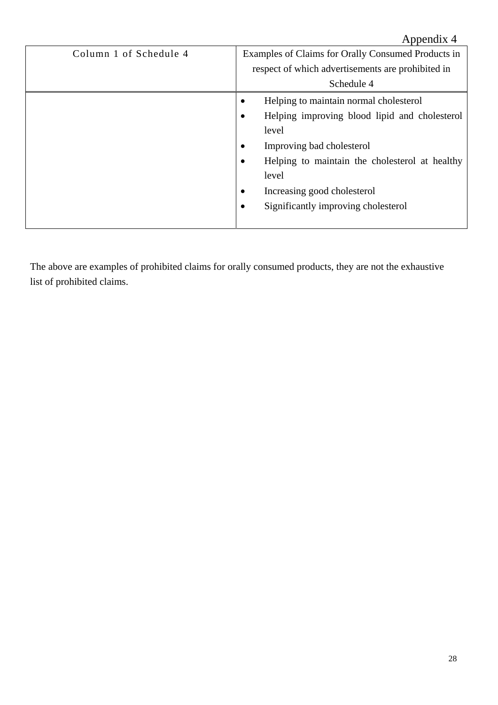|                        | Appendix 4                                          |
|------------------------|-----------------------------------------------------|
| Column 1 of Schedule 4 | Examples of Claims for Orally Consumed Products in  |
|                        | respect of which advertisements are prohibited in   |
|                        | Schedule 4                                          |
|                        | Helping to maintain normal cholesterol<br>$\bullet$ |
|                        | Helping improving blood lipid and cholesterol       |
|                        | level                                               |
|                        | Improving bad cholesterol                           |
|                        | Helping to maintain the cholesterol at healthy      |
|                        | level                                               |
|                        | Increasing good cholesterol                         |
|                        | Significantly improving cholesterol                 |
|                        |                                                     |

The above are examples of prohibited claims for orally consumed products, they are not the exhaustive list of prohibited claims.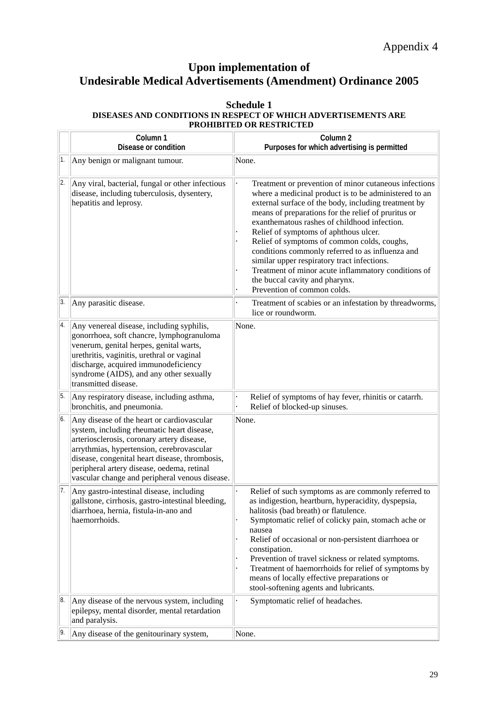## **Upon implementation of Undesirable Medical Advertisements (Amendment) Ordinance 2005**

#### **Schedule 1 DISEASES AND CONDITIONS IN RESPECT OF WHICH ADVERTISEMENTS ARE PROHIBITED OR RESTRICTED**

|                  | Column 1<br>Disease or condition                                                                                                                                                                                                                                                                                                      | Column 2<br>Purposes for which advertising is permitted                                                                                                                                                                                                                                                                                                                                                                                                                                                                                                                                          |
|------------------|---------------------------------------------------------------------------------------------------------------------------------------------------------------------------------------------------------------------------------------------------------------------------------------------------------------------------------------|--------------------------------------------------------------------------------------------------------------------------------------------------------------------------------------------------------------------------------------------------------------------------------------------------------------------------------------------------------------------------------------------------------------------------------------------------------------------------------------------------------------------------------------------------------------------------------------------------|
| 1.               | Any benign or malignant tumour.                                                                                                                                                                                                                                                                                                       | None.                                                                                                                                                                                                                                                                                                                                                                                                                                                                                                                                                                                            |
| 2.               | Any viral, bacterial, fungal or other infectious<br>disease, including tuberculosis, dysentery,<br>hepatitis and leprosy.                                                                                                                                                                                                             | Treatment or prevention of minor cutaneous infections<br>where a medicinal product is to be administered to an<br>external surface of the body, including treatment by<br>means of preparations for the relief of pruritus or<br>exanthematous rashes of childhood infection.<br>Relief of symptoms of aphthous ulcer.<br>Relief of symptoms of common colds, coughs,<br>conditions commonly referred to as influenza and<br>similar upper respiratory tract infections.<br>Treatment of minor acute inflammatory conditions of<br>the buccal cavity and pharynx.<br>Prevention of common colds. |
| 3.               | Any parasitic disease.                                                                                                                                                                                                                                                                                                                | Treatment of scabies or an infestation by threadworms,<br>lice or roundworm.                                                                                                                                                                                                                                                                                                                                                                                                                                                                                                                     |
| 4.               | Any venereal disease, including syphilis,<br>gonorrhoea, soft chancre, lymphogranuloma<br>venerum, genital herpes, genital warts,<br>urethritis, vaginitis, urethral or vaginal<br>discharge, acquired immunodeficiency<br>syndrome (AIDS), and any other sexually<br>transmitted disease.                                            | None.                                                                                                                                                                                                                                                                                                                                                                                                                                                                                                                                                                                            |
| $\overline{5}$ . | Any respiratory disease, including asthma,<br>bronchitis, and pneumonia.                                                                                                                                                                                                                                                              | Relief of symptoms of hay fever, rhinitis or catarrh.<br>Relief of blocked-up sinuses.                                                                                                                                                                                                                                                                                                                                                                                                                                                                                                           |
| 6.               | Any disease of the heart or cardiovascular<br>system, including rheumatic heart disease,<br>arteriosclerosis, coronary artery disease,<br>arrythmias, hypertension, cerebrovascular<br>disease, congenital heart disease, thrombosis,<br>peripheral artery disease, oedema, retinal<br>vascular change and peripheral venous disease. | None.                                                                                                                                                                                                                                                                                                                                                                                                                                                                                                                                                                                            |
| 17.              | Any gastro-intestinal disease, including<br>gallstone, cirrhosis, gastro-intestinal bleeding,<br>diarrhoea, hernia, fistula-in-ano and<br>haemorrhoids.                                                                                                                                                                               | Relief of such symptoms as are commonly referred to<br>as indigestion, heartburn, hyperacidity, dyspepsia,<br>halitosis (bad breath) or flatulence.<br>Symptomatic relief of colicky pain, stomach ache or<br>nausea<br>Relief of occasional or non-persistent diarrhoea or<br>constipation.<br>Prevention of travel sickness or related symptoms.<br>Treatment of haemorrhoids for relief of symptoms by<br>means of locally effective preparations or<br>stool-softening agents and lubricants.                                                                                                |
| 8.               | Any disease of the nervous system, including<br>epilepsy, mental disorder, mental retardation<br>and paralysis.                                                                                                                                                                                                                       | Symptomatic relief of headaches.                                                                                                                                                                                                                                                                                                                                                                                                                                                                                                                                                                 |
|                  | Any disease of the genitourinary system,                                                                                                                                                                                                                                                                                              | None.                                                                                                                                                                                                                                                                                                                                                                                                                                                                                                                                                                                            |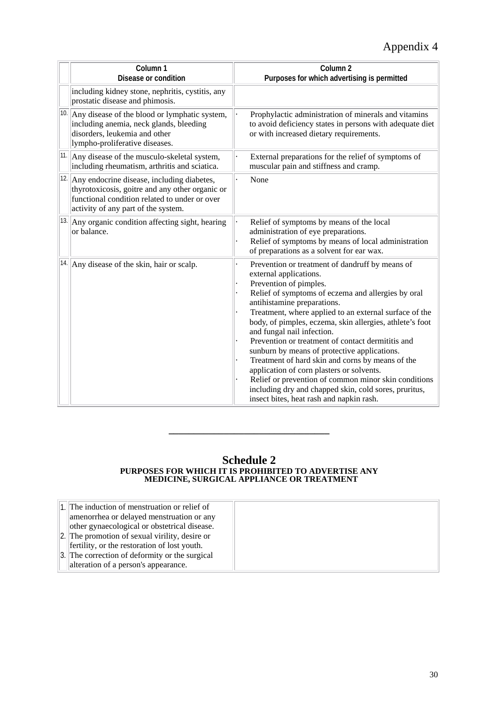|              | Column <sub>1</sub><br>Disease or condition                                                                                                                                           | Column <sub>2</sub><br>Purposes for which advertising is permitted                                                                                                                                                                                                                                                                                                                                                                                                                                                                                                                                                                                                                                              |
|--------------|---------------------------------------------------------------------------------------------------------------------------------------------------------------------------------------|-----------------------------------------------------------------------------------------------------------------------------------------------------------------------------------------------------------------------------------------------------------------------------------------------------------------------------------------------------------------------------------------------------------------------------------------------------------------------------------------------------------------------------------------------------------------------------------------------------------------------------------------------------------------------------------------------------------------|
|              | including kidney stone, nephritis, cystitis, any<br>prostatic disease and phimosis.                                                                                                   |                                                                                                                                                                                                                                                                                                                                                                                                                                                                                                                                                                                                                                                                                                                 |
| 10.          | Any disease of the blood or lymphatic system,<br>including anemia, neck glands, bleeding<br>disorders, leukemia and other<br>lympho-proliferative diseases.                           | Prophylactic administration of minerals and vitamins<br>to avoid deficiency states in persons with adequate diet<br>or with increased dietary requirements.                                                                                                                                                                                                                                                                                                                                                                                                                                                                                                                                                     |
| $ 11\rangle$ | Any disease of the musculo-skeletal system,<br>including rheumatism, arthritis and sciatica.                                                                                          | External preparations for the relief of symptoms of<br>muscular pain and stiffness and cramp.                                                                                                                                                                                                                                                                                                                                                                                                                                                                                                                                                                                                                   |
| 12.          | Any endocrine disease, including diabetes,<br>thyrotoxicosis, goitre and any other organic or<br>functional condition related to under or over<br>activity of any part of the system. | None                                                                                                                                                                                                                                                                                                                                                                                                                                                                                                                                                                                                                                                                                                            |
|              | $ 13$ . Any organic condition affecting sight, hearing<br>or balance.                                                                                                                 | Relief of symptoms by means of the local<br>administration of eye preparations.<br>Relief of symptoms by means of local administration<br>of preparations as a solvent for ear wax.                                                                                                                                                                                                                                                                                                                                                                                                                                                                                                                             |
|              | $ 14 $ Any disease of the skin, hair or scalp.                                                                                                                                        | Prevention or treatment of dandruff by means of<br>external applications.<br>Prevention of pimples.<br>Relief of symptoms of eczema and allergies by oral<br>antihistamine preparations.<br>Treatment, where applied to an external surface of the<br>body, of pimples, eczema, skin allergies, athlete's foot<br>and fungal nail infection.<br>Prevention or treatment of contact dermititis and<br>sunburn by means of protective applications.<br>Treatment of hard skin and corns by means of the<br>application of corn plasters or solvents.<br>Relief or prevention of common minor skin conditions<br>including dry and chapped skin, cold sores, pruritus,<br>insect bites, heat rash and napkin rash. |

#### **Schedule 2 PURPOSES FOR WHICH IT IS PROHIBITED TO ADVERTISE ANY MEDICINE, SURGICAL APPLIANCE OR TREATMENT**

**\_\_\_\_\_\_\_\_\_\_\_\_\_\_\_\_\_\_\_\_\_\_\_\_\_\_\_\_\_\_\_\_** 

| 1. The induction of menstruation or relief of    |
|--------------------------------------------------|
| amenorrhea or delayed menstruation or any        |
| other gynaecological or obstetrical disease.     |
| [2.] The promotion of sexual virility, desire or |
| efertility, or the restoration of lost youth.    |
| 3. The correction of deformity or the surgical   |
| alteration of a person's appearance.             |